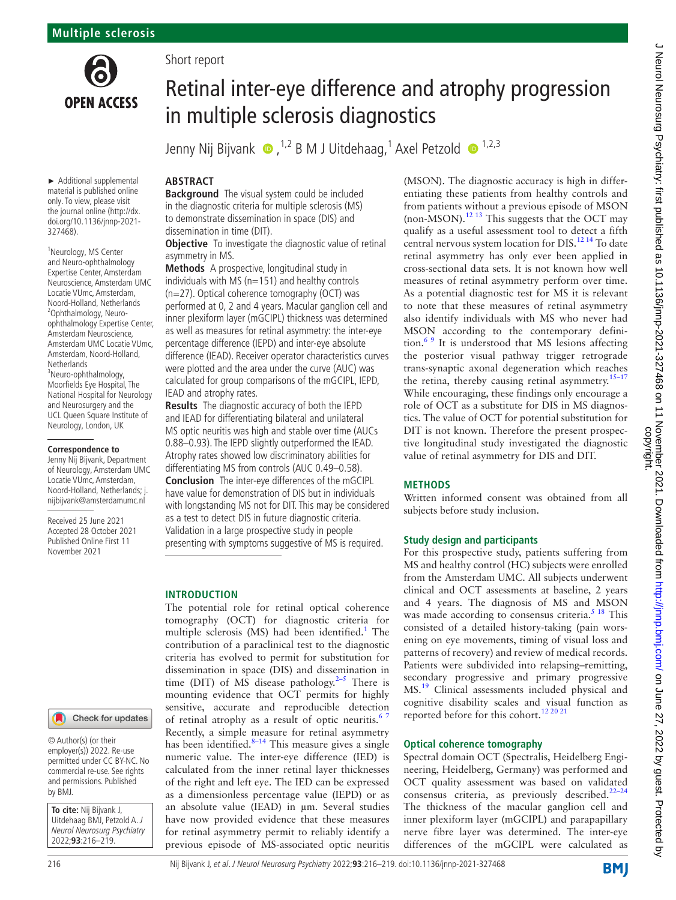

► Additional supplemental material is published online only. To view, please visit the journal online [\(http://dx.](http://dx.doi.org/10.1136/jnnp-2021-327468) [doi.org/10.1136/jnnp-2021-](http://dx.doi.org/10.1136/jnnp-2021-327468) [327468](http://dx.doi.org/10.1136/jnnp-2021-327468)).

<sup>1</sup>Neurology, MS Center and Neuro-ophthalmology Expertise Center, Amsterdam Neuroscience, Amsterdam UMC Locatie VUmc, Amsterdam, Noord-Holland, Netherlands <sup>2</sup> <sup>2</sup>Ophthalmology, Neuroophthalmology Expertise Center, Amsterdam Neuroscience, Amsterdam UMC Locatie VUmc, Amsterdam, Noord-Holland, **Netherlands** 3 Neuro-ophthalmology,

Moorfields Eye Hospital, The National Hospital for Neurology and Neurosurgery and the UCL Queen Square Institute of Neurology, London, UK

#### **Correspondence to**

Jenny Nij Bijvank, Department of Neurology, Amsterdam UMC Locatie VUmc, Amsterdam, Noord-Holland, Netherlands; j. nijbijvank@amsterdamumc.nl

Received 25 June 2021 Accepted 28 October 2021 Published Online First 11 November 2021

#### Check for updates

© Author(s) (or their employer(s)) 2022. Re-use permitted under CC BY-NC. No commercial re-use. See rights and permissions. Published by BMJ.

**To cite:** Nij Bijvank J, Uitdehaag BMJ, Petzold A. J Neurol Neurosurg Psychiatry 2022;**93**:216–219.

# Short report

# Retinal inter-eye difference and atrophy progression in multiple sclerosis diagnostics

JennyNij Bijvank  $\bullet$  ,<sup>1,2</sup> B M J Uitdehaag,<sup>1</sup> Axel Petzold  $\bullet$  <sup>1,2,3</sup>

# **ABSTRACT**

**Background** The visual system could be included in the diagnostic criteria for multiple sclerosis (MS) to demonstrate dissemination in space (DIS) and dissemination in time (DIT).

**Objective** To investigate the diagnostic value of retinal asymmetry in MS.

**Methods** A prospective, longitudinal study in individuals with MS (n=151) and healthy controls (n=27). Optical coherence tomography (OCT) was performed at 0, 2 and 4 years. Macular ganglion cell and inner plexiform layer (mGCIPL) thickness was determined as well as measures for retinal asymmetry: the inter-eye percentage difference (IEPD) and inter-eye absolute difference (IEAD). Receiver operator characteristics curves were plotted and the area under the curve (AUC) was calculated for group comparisons of the mGCIPL, IEPD, IEAD and atrophy rates.

**Results** The diagnostic accuracy of both the IEPD and IEAD for differentiating bilateral and unilateral MS optic neuritis was high and stable over time (AUCs 0.88–0.93). The IEPD slightly outperformed the IEAD. Atrophy rates showed low discriminatory abilities for differentiating MS from controls (AUC 0.49–0.58).

**Conclusion** The inter-eye differences of the mGCIPL have value for demonstration of DIS but in individuals with longstanding MS not for DIT. This may be considered as a test to detect DIS in future diagnostic criteria. Validation in a large prospective study in people presenting with symptoms suggestive of MS is required.

# **INTRODUCTION**

The potential role for retinal optical coherence tomography (OCT) for diagnostic criteria for multiple sclerosis (MS) had been identified.<sup>[1](#page-3-0)</sup> The contribution of a paraclinical test to the diagnostic criteria has evolved to permit for substitution for dissemination in space (DIS) and dissemination in time (DIT) of MS disease pathology. $2-5$  There is mounting evidence that OCT permits for highly sensitive, accurate and reproducible detection of retinal atrophy as a result of optic neuritis.<sup>67</sup> Recently, a simple measure for retinal asymmetry has been identified. $8-14$  This measure gives a single numeric value. The inter-eye difference (IED) is calculated from the inner retinal layer thicknesses of the right and left eye. The IED can be expressed as a dimensionless percentage value (IEPD) or as an absolute value (IEAD) in um. Several studies have now provided evidence that these measures for retinal asymmetry permit to reliably identify a previous episode of MS-associated optic neuritis

(MSON). The diagnostic accuracy is high in differentiating these patients from healthy controls and from patients without a previous episode of MSON (non-MSON).<sup>12 13</sup> This suggests that the OCT may qualify as a useful assessment tool to detect a fifth central nervous system location for DIS.<sup>12 14</sup> To date retinal asymmetry has only ever been applied in cross-sectional data sets. It is not known how well measures of retinal asymmetry perform over time. As a potential diagnostic test for MS it is relevant to note that these measures of retinal asymmetry also identify individuals with MS who never had MSON according to the contemporary definition. $69$  It is understood that MS lesions affecting the posterior visual pathway trigger retrograde trans-synaptic axonal degeneration which reaches the retina, thereby causing retinal asymmetry.<sup>15–17</sup> While encouraging, these findings only encourage a role of OCT as a substitute for DIS in MS diagnostics. The value of OCT for potential substitution for DIT is not known. Therefore the present prospective longitudinal study investigated the diagnostic value of retinal asymmetry for DIS and DIT.

# **METHODS**

Written informed consent was obtained from all subjects before study inclusion.

# **Study design and participants**

For this prospective study, patients suffering from MS and healthy control (HC) subjects were enrolled from the Amsterdam UMC. All subjects underwent clinical and OCT assessments at baseline, 2 years and 4 years. The diagnosis of MS and MSON was made according to consensus criteria. $5^{18}$  This consisted of a detailed history-taking (pain worsening on eye movements, timing of visual loss and patterns of recovery) and review of medical records. Patients were subdivided into relapsing–remitting, secondary progressive and primary progressive MS.<sup>[19](#page-3-7)</sup> Clinical assessments included physical and cognitive disability scales and visual function as reported before for this cohort.<sup>[12 20 21](#page-3-4)</sup>

## **Optical coherence tomography**

Spectral domain OCT (Spectralis, Heidelberg Engineering, Heidelberg, Germany) was performed and OCT quality assessment was based on validated consensus criteria, as previously described. $22-24$ The thickness of the macular ganglion cell and inner plexiform layer (mGCIPL) and parapapillary nerve fibre layer was determined. The inter-eye differences of the mGCIPL were calculated as

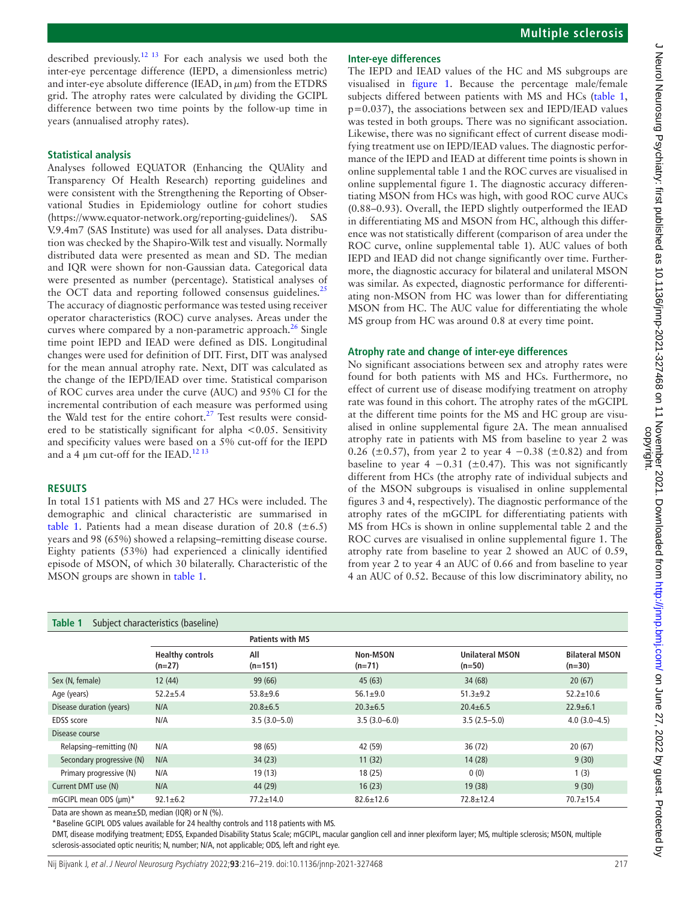described previously.[12 13](#page-3-4) For each analysis we used both the inter-eye percentage difference (IEPD, a dimensionless metric) and inter-eye absolute difference (IEAD, in  $\mu$ m) from the ETDRS grid. The atrophy rates were calculated by dividing the GCIPL difference between two time points by the follow-up time in years (annualised atrophy rates).

#### **Statistical analysis**

Analyses followed EQUATOR (Enhancing the QUAlity and Transparency Of Health Research) reporting guidelines and were consistent with the Strengthening the Reporting of Observational Studies in Epidemiology outline for cohort studies ([https://www.equator-network.org/reporting-guidelines/\)](https://www.equator-network.org/reporting-guidelines/). SAS V.9.4m7 (SAS Institute) was used for all analyses. Data distribution was checked by the Shapiro-Wilk test and visually. Normally distributed data were presented as mean and SD. The median and IQR were shown for non-Gaussian data. Categorical data were presented as number (percentage). Statistical analyses of the OCT data and reporting followed consensus guidelines.<sup>[25](#page-3-9)</sup> The accuracy of diagnostic performance was tested using receiver operator characteristics (ROC) curve analyses. Areas under the curves where compared by a non-parametric approach.<sup>26</sup> Single time point IEPD and IEAD were defined as DIS. Longitudinal changes were used for definition of DIT. First, DIT was analysed for the mean annual atrophy rate. Next, DIT was calculated as the change of the IEPD/IEAD over time. Statistical comparison of ROC curves area under the curve (AUC) and 95% CI for the incremental contribution of each measure was performed using the Wald test for the entire cohort.<sup>[27](#page-3-11)</sup> Test results were considered to be statistically significant for alpha <0.05. Sensitivity and specificity values were based on a 5% cut-off for the IEPD and a 4  $\mu$ m cut-off for the IEAD.<sup>12 13</sup>

#### **RESULTS**

In total 151 patients with MS and 27 HCs were included. The demographic and clinical characteristic are summarised in [table](#page-1-0) 1. Patients had a mean disease duration of 20.8 ( $\pm$ 6.5) years and 98 (65%) showed a relapsing–remitting disease course. Eighty patients (53%) had experienced a clinically identified episode of MSON, of which 30 bilaterally. Characteristic of the MSON groups are shown in [table](#page-1-0) 1.

## **Inter-eye differences**

The IEPD and IEAD values of the HC and MS subgroups are visualised in [figure](#page-2-0) 1. Because the percentage male/female subjects differed between patients with MS and HCs ([table](#page-1-0) 1, p=0.037), the associations between sex and IEPD/IEAD values was tested in both groups. There was no significant association. Likewise, there was no significant effect of current disease modifying treatment use on IEPD/IEAD values. The diagnostic performance of the IEPD and IEAD at different time points is shown in [online supplemental table 1](https://dx.doi.org/10.1136/jnnp-2021-327468) and the ROC curves are visualised in [online supplemental figure 1](https://dx.doi.org/10.1136/jnnp-2021-327468). The diagnostic accuracy differentiating MSON from HCs was high, with good ROC curve AUCs (0.88–0.93). Overall, the IEPD slightly outperformed the IEAD in differentiating MS and MSON from HC, although this difference was not statistically different (comparison of area under the ROC curve, [online supplemental table 1](https://dx.doi.org/10.1136/jnnp-2021-327468)). AUC values of both IEPD and IEAD did not change significantly over time. Furthermore, the diagnostic accuracy for bilateral and unilateral MSON was similar. As expected, diagnostic performance for differentiating non-MSON from HC was lower than for differentiating MSON from HC. The AUC value for differentiating the whole MS group from HC was around 0.8 at every time point.

## **Atrophy rate and change of inter-eye differences**

No significant associations between sex and atrophy rates were found for both patients with MS and HCs. Furthermore, no effect of current use of disease modifying treatment on atrophy rate was found in this cohort. The atrophy rates of the mGCIPL at the different time points for the MS and HC group are visualised in [online supplemental figure 2A](https://dx.doi.org/10.1136/jnnp-2021-327468). The mean annualised atrophy rate in patients with MS from baseline to year 2 was 0.26 ( $\pm$ 0.57), from year 2 to year 4 –0.38 ( $\pm$ 0.82) and from baseline to year 4  $-0.31$  (±0.47). This was not significantly different from HCs (the atrophy rate of individual subjects and of the MSON subgroups is visualised in [online supplemental](https://dx.doi.org/10.1136/jnnp-2021-327468) [figures 3 and 4](https://dx.doi.org/10.1136/jnnp-2021-327468), respectively). The diagnostic performance of the atrophy rates of the mGCIPL for differentiating patients with MS from HCs is shown in [online supplemental table 2](https://dx.doi.org/10.1136/jnnp-2021-327468) and the ROC curves are visualised in [online supplemental figure 1.](https://dx.doi.org/10.1136/jnnp-2021-327468) The atrophy rate from baseline to year 2 showed an AUC of 0.59, from year 2 to year 4 an AUC of 0.66 and from baseline to year 4 an AUC of 0.52. Because of this low discriminatory ability, no

<span id="page-1-0"></span>

| Table 1<br>Subject characteristics (baseline) |                                     |                         |                      |                                    |                                   |
|-----------------------------------------------|-------------------------------------|-------------------------|----------------------|------------------------------------|-----------------------------------|
|                                               |                                     | <b>Patients with MS</b> |                      |                                    |                                   |
|                                               | <b>Healthy controls</b><br>$(n=27)$ | All<br>$(n=151)$        | Non-MSON<br>$(n=71)$ | <b>Unilateral MSON</b><br>$(n=50)$ | <b>Bilateral MSON</b><br>$(n=30)$ |
| Sex (N, female)                               | 12(44)                              | 99 (66)                 | 45(63)               | 34(68)                             | 20(67)                            |
| Age (years)                                   | $52.2 + 5.4$                        | $53.8 + 9.6$            | $56.1 \pm 9.0$       | $51.3 + 9.2$                       | $52.2 \pm 10.6$                   |
| Disease duration (years)                      | N/A                                 | $20.8 + 6.5$            | $20.3 + 6.5$         | $20.4 \pm 6.5$                     | $22.9 \pm 6.1$                    |
| <b>EDSS</b> score                             | N/A                                 | $3.5(3.0 - 5.0)$        | $3.5(3.0 - 6.0)$     | $3.5(2.5-5.0)$                     | $4.0(3.0 - 4.5)$                  |
| Disease course                                |                                     |                         |                      |                                    |                                   |
| Relapsing-remitting (N)                       | N/A                                 | 98 (65)                 | 42 (59)              | 36(72)                             | 20(67)                            |
| Secondary progressive (N)                     | N/A                                 | 34(23)                  | 11(32)               | 14(28)                             | 9(30)                             |
| Primary progressive (N)                       | N/A                                 | 19(13)                  | 18(25)               | 0(0)                               | 1(3)                              |
| Current DMT use (N)                           | N/A                                 | 44 (29)                 | 16(23)               | 19(38)                             | 9(30)                             |
| mGCIPL mean ODS (µm)*                         | $92.1 \pm 6.2$                      | $77.2 \pm 14.0$         | $82.6 \pm 12.6$      | $72.8 \pm 12.4$                    | $70.7 \pm 15.4$                   |

Data are shown as mean±SD, median (IQR) or N (%).

\*Baseline GCIPL ODS values available for 24 healthy controls and 118 patients with MS.

DMT, disease modifying treatment; EDSS, Expanded Disability Status Scale; mGCIPL, macular ganglion cell and inner plexiform layer; MS, multiple sclerosis; MSON, multiple sclerosis-associated optic neuritis; N, number; N/A, not applicable; ODS, left and right eye.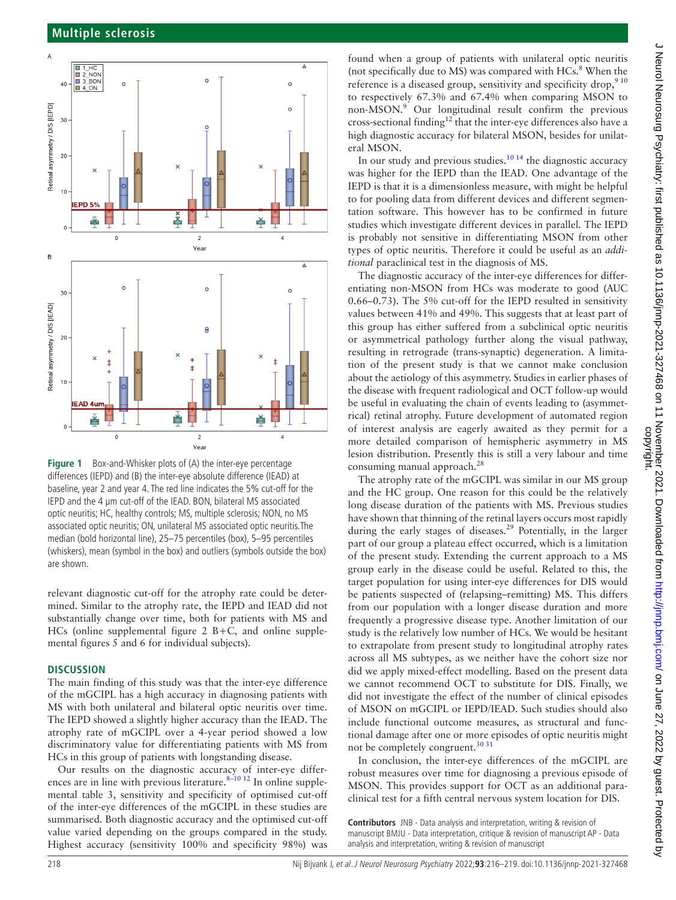

<span id="page-2-0"></span>**Figure 1** Box-and-Whisker plots of (A) the inter-eye percentage differences (IEPD) and (B) the inter-eye absolute difference (IEAD) at baseline, year 2 and year 4. The red line indicates the 5% cut-off for the IEPD and the 4 µm cut-off of the IEAD. BON, bilateral MS associated optic neuritis; HC, healthy controls; MS, multiple sclerosis; NON, no MS associated optic neuritis; ON, unilateral MS associated optic neuritis.The median (bold horizontal line), 25–75 percentiles (box), 5–95 percentiles (whiskers), mean (symbol in the box) and outliers (symbols outside the box) are shown.

relevant diagnostic cut-off for the atrophy rate could be determined. Similar to the atrophy rate, the IEPD and IEAD did not substantially change over time, both for patients with MS and HCs ([online supplemental figure 2](https://dx.doi.org/10.1136/jnnp-2021-327468) B+C, and [online supple](https://dx.doi.org/10.1136/jnnp-2021-327468)[mental figures 5 and 6](https://dx.doi.org/10.1136/jnnp-2021-327468) for individual subjects).

## **DISCUSSION**

The main finding of this study was that the inter-eye difference of the mGCIPL has a high accuracy in diagnosing patients with MS with both unilateral and bilateral optic neuritis over time. The IEPD showed a slightly higher accuracy than the IEAD. The atrophy rate of mGCIPL over a 4-year period showed a low discriminatory value for differentiating patients with MS from HCs in this group of patients with longstanding disease.

Our results on the diagnostic accuracy of inter-eye differences are in line with previous literature.  $8-10$  12 In [online supple](https://dx.doi.org/10.1136/jnnp-2021-327468)[mental table 3,](https://dx.doi.org/10.1136/jnnp-2021-327468) sensitivity and specificity of optimised cut-off of the inter-eye differences of the mGCIPL in these studies are summarised. Both diagnostic accuracy and the optimised cut-off value varied depending on the groups compared in the study. Highest accuracy (sensitivity 100% and specificity 98%) was

found when a group of patients with unilateral optic neuritis (not specifically due to MS) was compared with  $HCs$ .<sup>[8](#page-3-3)</sup> When the reference is a diseased group, sensitivity and specificity drop, <sup>[9 10](#page-3-12)</sup> to respectively 67.3% and 67.4% when comparing MSON to non-MSON.<sup>[9](#page-3-12)</sup> Our longitudinal result confirm the previous cross-sectional finding<sup>12</sup> that the inter-eye differences also have a high diagnostic accuracy for bilateral MSON, besides for unilateral MSON.

In our study and previous studies. $10\frac{14}{14}$  the diagnostic accuracy was higher for the IEPD than the IEAD. One advantage of the IEPD is that it is a dimensionless measure, with might be helpful to for pooling data from different devices and different segmentation software. This however has to be confirmed in future studies which investigate different devices in parallel. The IEPD is probably not sensitive in differentiating MSON from other types of optic neuritis. Therefore it could be useful as an *additional* paraclinical test in the diagnosis of MS.

The diagnostic accuracy of the inter-eye differences for differentiating non-MSON from HCs was moderate to good (AUC 0.66–0.73). The 5% cut-off for the IEPD resulted in sensitivity values between 41% and 49%. This suggests that at least part of this group has either suffered from a subclinical optic neuritis or asymmetrical pathology further along the visual pathway, resulting in retrograde (trans-synaptic) degeneration. A limitation of the present study is that we cannot make conclusion about the aetiology of this asymmetry. Studies in earlier phases of the disease with frequent radiological and OCT follow-up would be useful in evaluating the chain of events leading to (asymmetrical) retinal atrophy. Future development of automated region of interest analysis are eagerly awaited as they permit for a more detailed comparison of hemispheric asymmetry in MS lesion distribution. Presently this is still a very labour and time consuming manual approach.<sup>28</sup>

The atrophy rate of the mGCIPL was similar in our MS group and the HC group. One reason for this could be the relatively long disease duration of the patients with MS. Previous studies have shown that thinning of the retinal layers occurs most rapidly during the early stages of diseases.<sup>29</sup> Potentially, in the larger part of our group a plateau effect occurred, which is a limitation of the present study. Extending the current approach to a MS group early in the disease could be useful. Related to this, the target population for using inter-eye differences for DIS would be patients suspected of (relapsing–remitting) MS. This differs from our population with a longer disease duration and more frequently a progressive disease type. Another limitation of our study is the relatively low number of HCs. We would be hesitant to extrapolate from present study to longitudinal atrophy rates across all MS subtypes, as we neither have the cohort size nor did we apply mixed-effect modelling. Based on the present data we cannot recommend OCT to substitute for DIS. Finally, we did not investigate the effect of the number of clinical episodes of MSON on mGCIPL or IEPD/IEAD. Such studies should also include functional outcome measures, as structural and functional damage after one or more episodes of optic neuritis might not be completely congruent.<sup>[30 31](#page-3-16)</sup>

In conclusion, the inter-eye differences of the mGCIPL are robust measures over time for diagnosing a previous episode of MSON. This provides support for OCT as an additional paraclinical test for a fifth central nervous system location for DIS.

**Contributors** JNB - Data analysis and interpretation, writing & revision of manuscript BMJU - Data interpretation, critique & revision of manuscript AP - Data analysis and interpretation, writing & revision of manuscript